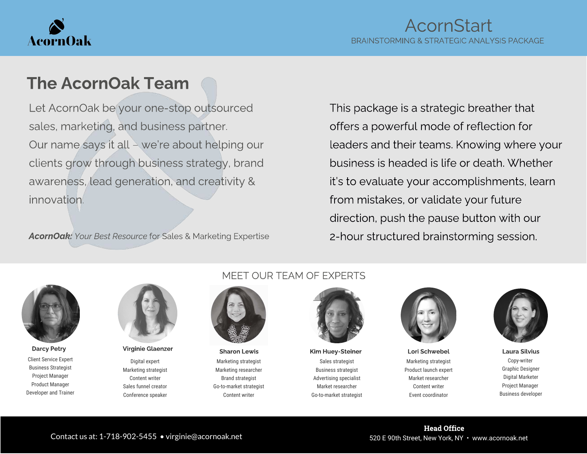

# The AcornOak Team

Let AcornOak be your one-stop outsourced sales, marketing, and business partner. Our name says it all – we're about helping our clients grow through business strategy, brand awareness, lead generation, and creativity & innovation.

AcornOak: Your Best Resource for Sales & Marketing Expertise

This package is a strategic breather that offers a powerful mode of reflection for leaders and their teams. Knowing where your business is headed is life or death. Whether it's to evaluate your accomplishments, learn from mistakes, or validate your future direction, push the pause button with our 2-hour structured brainstorming session.



Client Service Expert Business Strategist Project Manager Product Manager Developer and Trainer



Digital expert Marketing strategist Content writer Sales funnel creator Conference speaker

#### MEET OUR TEAM OF EXPERTS



Marketing strategist Marketing researcher Brand strategist Go-to-market strategist Content writer

Sales strategist Business strategist Advertising specialist Market researcher Go-to-market strategist Darcy Petry Sharon Lewis Kim Huey-Steiner Lori Schwebel Laura Silvius Laura Silvius Charon Lewis Kim Huey-Steiner



Marketing strategist Product launch expert Market researcher Content writer Event coordinator



Copy-writer Graphic Designer Digital Marketer Project Manager Business developer